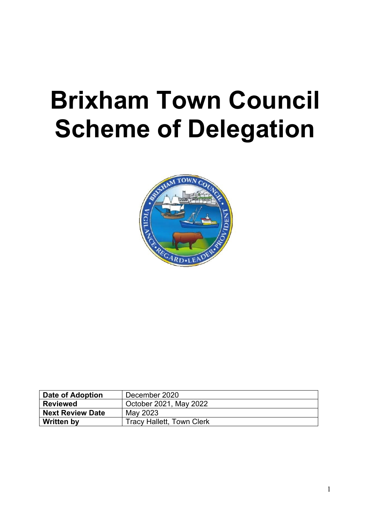# **Brixham Town Council Scheme of Delegation**



| Date of Adoption        | December 2020                    |
|-------------------------|----------------------------------|
| <b>Reviewed</b>         | October 2021, May 2022           |
| <b>Next Review Date</b> | May 2023                         |
| <b>Written by</b>       | <b>Tracy Hallett, Town Clerk</b> |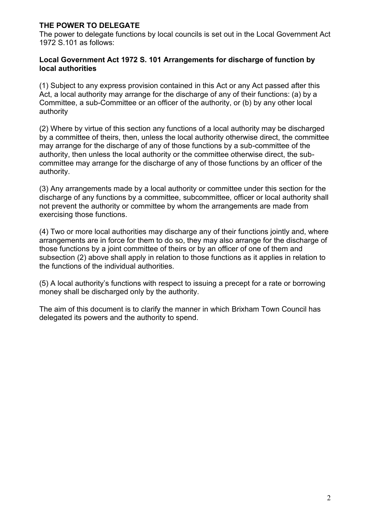## **THE POWER TO DELEGATE**

The power to delegate functions by local councils is set out in the Local Government Act 1972 S.101 as follows:

#### **Local Government Act 1972 S. 101 Arrangements for discharge of function by local authorities**

(1) Subject to any express provision contained in this Act or any Act passed after this Act, a local authority may arrange for the discharge of any of their functions: (a) by a Committee, a sub-Committee or an officer of the authority, or (b) by any other local authority

(2) Where by virtue of this section any functions of a local authority may be discharged by a committee of theirs, then, unless the local authority otherwise direct, the committee may arrange for the discharge of any of those functions by a sub-committee of the authority, then unless the local authority or the committee otherwise direct, the subcommittee may arrange for the discharge of any of those functions by an officer of the authority.

(3) Any arrangements made by a local authority or committee under this section for the discharge of any functions by a committee, subcommittee, officer or local authority shall not prevent the authority or committee by whom the arrangements are made from exercising those functions.

(4) Two or more local authorities may discharge any of their functions jointly and, where arrangements are in force for them to do so, they may also arrange for the discharge of those functions by a joint committee of theirs or by an officer of one of them and subsection (2) above shall apply in relation to those functions as it applies in relation to the functions of the individual authorities.

(5) A local authority's functions with respect to issuing a precept for a rate or borrowing money shall be discharged only by the authority.

The aim of this document is to clarify the manner in which Brixham Town Council has delegated its powers and the authority to spend.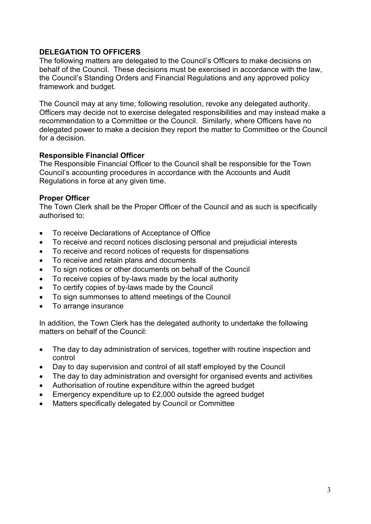#### **DELEGATION TO OFFICERS**

The following matters are delegated to the Council's Officers to make decisions on behalf of the Council. These decisions must be exercised in accordance with the law, the Council's Standing Orders and Financial Regulations and any approved policy framework and budget.

The Council may at any time, following resolution, revoke any delegated authority. Officers may decide not to exercise delegated responsibilities and may instead make a recommendation to a Committee or the Council. Similarly, where Officers have no delegated power to make a decision they report the matter to Committee or the Council for a decision.

#### **Responsible Financial Officer**

The Responsible Financial Officer to the Council shall be responsible for the Town Council's accounting procedures in accordance with the Accounts and Audit Regulations in force at any given time.

#### **Proper Officer**

The Town Clerk shall be the Proper Officer of the Council and as such is specifically authorised to:

- To receive Declarations of Acceptance of Office
- To receive and record notices disclosing personal and prejudicial interests
- To receive and record notices of requests for dispensations
- To receive and retain plans and documents
- To sign notices or other documents on behalf of the Council
- To receive copies of by-laws made by the local authority
- To certify copies of by-laws made by the Council
- To sign summonses to attend meetings of the Council
- To arrange insurance

In addition, the Town Clerk has the delegated authority to undertake the following matters on behalf of the Council:

- The day to day administration of services, together with routine inspection and control
- Day to day supervision and control of all staff employed by the Council
- The day to day administration and oversight for organised events and activities
- Authorisation of routine expenditure within the agreed budget
- Emergency expenditure up to £2,000 outside the agreed budget
- Matters specifically delegated by Council or Committee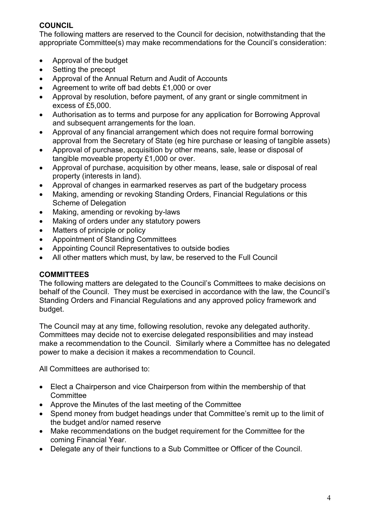# **COUNCIL**

The following matters are reserved to the Council for decision, notwithstanding that the appropriate Committee(s) may make recommendations for the Council's consideration:

- Approval of the budget
- Setting the precept
- Approval of the Annual Return and Audit of Accounts
- Agreement to write off bad debts £1,000 or over
- Approval by resolution, before payment, of any grant or single commitment in excess of £5,000.
- Authorisation as to terms and purpose for any application for Borrowing Approval and subsequent arrangements for the loan.
- Approval of any financial arrangement which does not require formal borrowing approval from the Secretary of State (eg hire purchase or leasing of tangible assets)
- Approval of purchase, acquisition by other means, sale, lease or disposal of tangible moveable property £1,000 or over.
- Approval of purchase, acquisition by other means, lease, sale or disposal of real property (interests in land).
- Approval of changes in earmarked reserves as part of the budgetary process
- Making, amending or revoking Standing Orders, Financial Regulations or this Scheme of Delegation
- Making, amending or revoking by-laws
- Making of orders under any statutory powers
- Matters of principle or policy
- Appointment of Standing Committees
- Appointing Council Representatives to outside bodies
- All other matters which must, by law, be reserved to the Full Council

## **COMMITTEES**

The following matters are delegated to the Council's Committees to make decisions on behalf of the Council. They must be exercised in accordance with the law, the Council's Standing Orders and Financial Regulations and any approved policy framework and budget.

The Council may at any time, following resolution, revoke any delegated authority. Committees may decide not to exercise delegated responsibilities and may instead make a recommendation to the Council. Similarly where a Committee has no delegated power to make a decision it makes a recommendation to Council.

All Committees are authorised to:

- Elect a Chairperson and vice Chairperson from within the membership of that **Committee**
- Approve the Minutes of the last meeting of the Committee
- Spend money from budget headings under that Committee's remit up to the limit of the budget and/or named reserve
- Make recommendations on the budget requirement for the Committee for the coming Financial Year.
- Delegate any of their functions to a Sub Committee or Officer of the Council.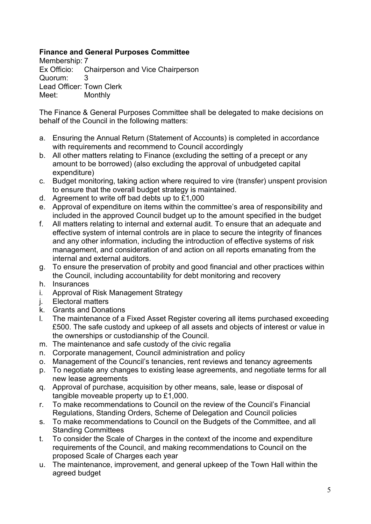## **Finance and General Purposes Committee**

Membership: 7 Ex Officio: Chairperson and Vice Chairperson Quorum: 3 Lead Officer: Town Clerk Meet: Monthly

The Finance & General Purposes Committee shall be delegated to make decisions on behalf of the Council in the following matters:

- a. Ensuring the Annual Return (Statement of Accounts) is completed in accordance with requirements and recommend to Council accordingly
- b. All other matters relating to Finance (excluding the setting of a precept or any amount to be borrowed) (also excluding the approval of unbudgeted capital expenditure)
- c. Budget monitoring, taking action where required to vire (transfer) unspent provision to ensure that the overall budget strategy is maintained.
- d. Agreement to write off bad debts up to £1,000
- e. Approval of expenditure on items within the committee's area of responsibility and included in the approved Council budget up to the amount specified in the budget
- f. All matters relating to internal and external audit. To ensure that an adequate and effective system of internal controls are in place to secure the integrity of finances and any other information, including the introduction of effective systems of risk management, and consideration of and action on all reports emanating from the internal and external auditors.
- g. To ensure the preservation of probity and good financial and other practices within the Council, including accountability for debt monitoring and recovery
- h. Insurances
- i. Approval of Risk Management Strategy
- j. Electoral matters
- k. Grants and Donations
- l. The maintenance of a Fixed Asset Register covering all items purchased exceeding £500. The safe custody and upkeep of all assets and objects of interest or value in the ownerships or custodianship of the Council.
- m. The maintenance and safe custody of the civic regalia
- n. Corporate management, Council administration and policy
- o. Management of the Council's tenancies, rent reviews and tenancy agreements
- p. To negotiate any changes to existing lease agreements, and negotiate terms for all new lease agreements
- q. Approval of purchase, acquisition by other means, sale, lease or disposal of tangible moveable property up to £1,000.
- r. To make recommendations to Council on the review of the Council's Financial Regulations, Standing Orders, Scheme of Delegation and Council policies
- s. To make recommendations to Council on the Budgets of the Committee, and all Standing Committees
- t. To consider the Scale of Charges in the context of the income and expenditure requirements of the Council, and making recommendations to Council on the proposed Scale of Charges each year
- u. The maintenance, improvement, and general upkeep of the Town Hall within the agreed budget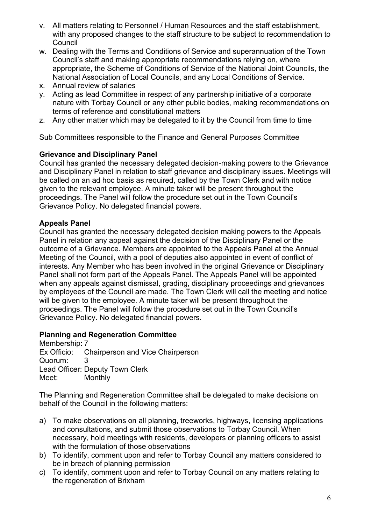- v. All matters relating to Personnel / Human Resources and the staff establishment, with any proposed changes to the staff structure to be subject to recommendation to **Council**
- w. Dealing with the Terms and Conditions of Service and superannuation of the Town Council's staff and making appropriate recommendations relying on, where appropriate, the Scheme of Conditions of Service of the National Joint Councils, the National Association of Local Councils, and any Local Conditions of Service.
- x. Annual review of salaries
- y. Acting as lead Committee in respect of any partnership initiative of a corporate nature with Torbay Council or any other public bodies, making recommendations on terms of reference and constitutional matters
- z. Any other matter which may be delegated to it by the Council from time to time

#### Sub Committees responsible to the Finance and General Purposes Committee

## **Grievance and Disciplinary Panel**

Council has granted the necessary delegated decision-making powers to the Grievance and Disciplinary Panel in relation to staff grievance and disciplinary issues. Meetings will be called on an ad hoc basis as required, called by the Town Clerk and with notice given to the relevant employee. A minute taker will be present throughout the proceedings. The Panel will follow the procedure set out in the Town Council's Grievance Policy. No delegated financial powers.

## **Appeals Panel**

Council has granted the necessary delegated decision making powers to the Appeals Panel in relation any appeal against the decision of the Disciplinary Panel or the outcome of a Grievance. Members are appointed to the Appeals Panel at the Annual Meeting of the Council, with a pool of deputies also appointed in event of conflict of interests. Any Member who has been involved in the original Grievance or Disciplinary Panel shall not form part of the Appeals Panel. The Appeals Panel will be appointed when any appeals against dismissal, grading, disciplinary proceedings and grievances by employees of the Council are made. The Town Clerk will call the meeting and notice will be given to the employee. A minute taker will be present throughout the proceedings. The Panel will follow the procedure set out in the Town Council's Grievance Policy. No delegated financial powers.

## **Planning and Regeneration Committee**

Membership: 7 Ex Officio: Chairperson and Vice Chairperson Quorum: 3 Lead Officer: Deputy Town Clerk Meet: Monthly

The Planning and Regeneration Committee shall be delegated to make decisions on behalf of the Council in the following matters:

- a) To make observations on all planning, treeworks, highways, licensing applications and consultations, and submit those observations to Torbay Council. When necessary, hold meetings with residents, developers or planning officers to assist with the formulation of those observations
- b) To identify, comment upon and refer to Torbay Council any matters considered to be in breach of planning permission
- c) To identify, comment upon and refer to Torbay Council on any matters relating to the regeneration of Brixham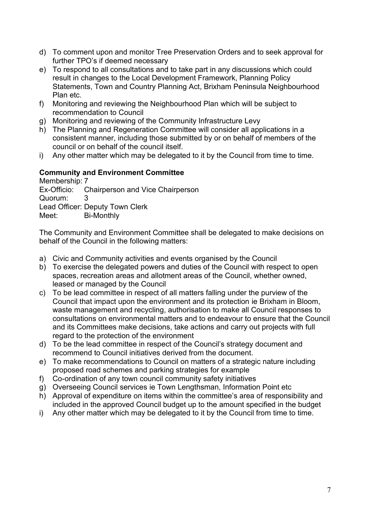- d) To comment upon and monitor Tree Preservation Orders and to seek approval for further TPO's if deemed necessary
- e) To respond to all consultations and to take part in any discussions which could result in changes to the Local Development Framework, Planning Policy Statements, Town and Country Planning Act, Brixham Peninsula Neighbourhood Plan etc.
- f) Monitoring and reviewing the Neighbourhood Plan which will be subject to recommendation to Council
- g) Monitoring and reviewing of the Community Infrastructure Levy
- h) The Planning and Regeneration Committee will consider all applications in a consistent manner, including those submitted by or on behalf of members of the council or on behalf of the council itself.
- i) Any other matter which may be delegated to it by the Council from time to time.

#### **Community and Environment Committee**

Membership: 7 Ex-Officio: Chairperson and Vice Chairperson Quorum: 3 Lead Officer: Deputy Town Clerk Meet: Bi-Monthly

The Community and Environment Committee shall be delegated to make decisions on behalf of the Council in the following matters:

- a) Civic and Community activities and events organised by the Council
- b) To exercise the delegated powers and duties of the Council with respect to open spaces, recreation areas and allotment areas of the Council, whether owned, leased or managed by the Council
- c) To be lead committee in respect of all matters falling under the purview of the Council that impact upon the environment and its protection ie Brixham in Bloom, waste management and recycling, authorisation to make all Council responses to consultations on environmental matters and to endeavour to ensure that the Council and its Committees make decisions, take actions and carry out projects with full regard to the protection of the environment
- d) To be the lead committee in respect of the Council's strategy document and recommend to Council initiatives derived from the document.
- e) To make recommendations to Council on matters of a strategic nature including proposed road schemes and parking strategies for example
- f) Co-ordination of any town council community safety initiatives
- g) Overseeing Council services ie Town Lengthsman, Information Point etc
- h) Approval of expenditure on items within the committee's area of responsibility and included in the approved Council budget up to the amount specified in the budget
- i) Any other matter which may be delegated to it by the Council from time to time.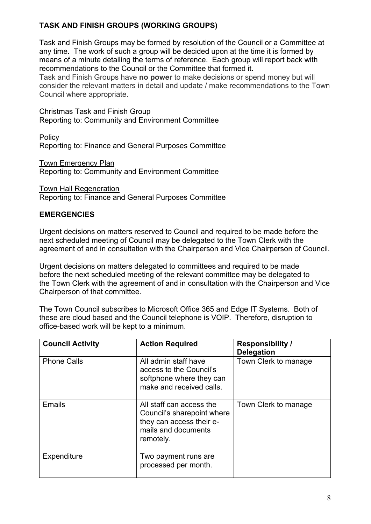# **TASK AND FINISH GROUPS (WORKING GROUPS)**

Task and Finish Groups may be formed by resolution of the Council or a Committee at any time. The work of such a group will be decided upon at the time it is formed by means of a minute detailing the terms of reference. Each group will report back with recommendations to the Council or the Committee that formed it.

Task and Finish Groups have **no power** to make decisions or spend money but will consider the relevant matters in detail and update / make recommendations to the Town Council where appropriate.

Christmas Task and Finish Group Reporting to: Community and Environment Committee

Policy Reporting to: Finance and General Purposes Committee

Town Emergency Plan Reporting to: Community and Environment Committee

Town Hall Regeneration Reporting to: Finance and General Purposes Committee

## **EMERGENCIES**

Urgent decisions on matters reserved to Council and required to be made before the next scheduled meeting of Council may be delegated to the Town Clerk with the agreement of and in consultation with the Chairperson and Vice Chairperson of Council.

Urgent decisions on matters delegated to committees and required to be made before the next scheduled meeting of the relevant committee may be delegated to the Town Clerk with the agreement of and in consultation with the Chairperson and Vice Chairperson of that committee.

The Town Council subscribes to Microsoft Office 365 and Edge IT Systems. Both of these are cloud based and the Council telephone is VOIP. Therefore, disruption to office-based work will be kept to a minimum.

| <b>Council Activity</b> | <b>Action Required</b>                                                                                                 | <b>Responsibility /</b><br><b>Delegation</b> |
|-------------------------|------------------------------------------------------------------------------------------------------------------------|----------------------------------------------|
| <b>Phone Calls</b>      | All admin staff have<br>access to the Council's<br>softphone where they can<br>make and received calls.                | Town Clerk to manage                         |
| Emails                  | All staff can access the<br>Council's sharepoint where<br>they can access their e-<br>mails and documents<br>remotely. | Town Clerk to manage                         |
| Expenditure             | Two payment runs are<br>processed per month.                                                                           |                                              |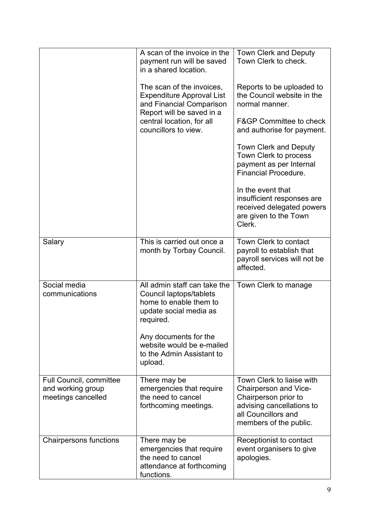|                                                                           | A scan of the invoice in the<br>payment run will be saved<br>in a shared location.<br>The scan of the invoices,<br><b>Expenditure Approval List</b><br>and Financial Comparison<br>Report will be saved in a<br>central location, for all<br>councillors to view. | <b>Town Clerk and Deputy</b><br>Town Clerk to check.<br>Reports to be uploaded to<br>the Council website in the<br>normal manner.<br><b>F&amp;GP Committee to check</b><br>and authorise for payment.<br><b>Town Clerk and Deputy</b><br>Town Clerk to process<br>payment as per Internal<br><b>Financial Procedure.</b><br>In the event that<br>insufficient responses are<br>received delegated powers |
|---------------------------------------------------------------------------|-------------------------------------------------------------------------------------------------------------------------------------------------------------------------------------------------------------------------------------------------------------------|----------------------------------------------------------------------------------------------------------------------------------------------------------------------------------------------------------------------------------------------------------------------------------------------------------------------------------------------------------------------------------------------------------|
|                                                                           |                                                                                                                                                                                                                                                                   | are given to the Town<br>Clerk.                                                                                                                                                                                                                                                                                                                                                                          |
| Salary                                                                    | This is carried out once a<br>month by Torbay Council.                                                                                                                                                                                                            | Town Clerk to contact<br>payroll to establish that<br>payroll services will not be<br>affected.                                                                                                                                                                                                                                                                                                          |
| Social media<br>communications                                            | All admin staff can take the<br>Council laptops/tablets<br>home to enable them to<br>update social media as<br>required.<br>Any documents for the<br>website would be e-mailed<br>to the Admin Assistant to<br>upload.                                            | Town Clerk to manage                                                                                                                                                                                                                                                                                                                                                                                     |
| <b>Full Council, committee</b><br>and working group<br>meetings cancelled | There may be<br>emergencies that require<br>the need to cancel<br>forthcoming meetings.                                                                                                                                                                           | Town Clerk to liaise with<br><b>Chairperson and Vice-</b><br>Chairperson prior to<br>advising cancellations to<br>all Councillors and<br>members of the public.                                                                                                                                                                                                                                          |
| <b>Chairpersons functions</b>                                             | There may be<br>emergencies that require<br>the need to cancel<br>attendance at forthcoming<br>functions.                                                                                                                                                         | Receptionist to contact<br>event organisers to give<br>apologies.                                                                                                                                                                                                                                                                                                                                        |